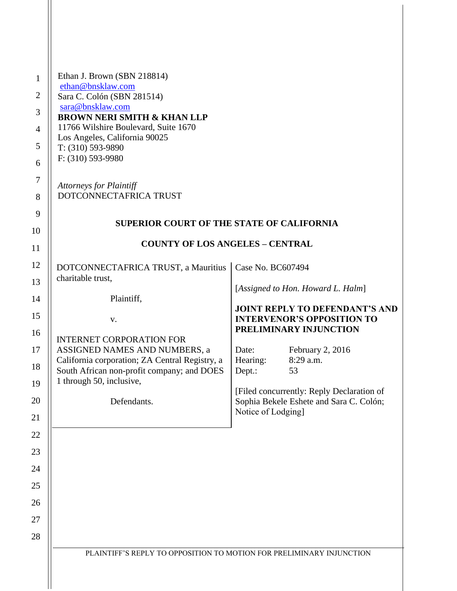| $\mathbf{1}$   | Ethan J. Brown (SBN 218814)                                                                |                                                                      |                                                                            |  |
|----------------|--------------------------------------------------------------------------------------------|----------------------------------------------------------------------|----------------------------------------------------------------------------|--|
| $\overline{2}$ | ethan@bnsklaw.com<br>Sara C. Colón (SBN 281514)                                            |                                                                      |                                                                            |  |
| 3              | sara@bnsklaw.com                                                                           |                                                                      |                                                                            |  |
|                | <b>BROWN NERI SMITH &amp; KHAN LLP</b><br>11766 Wilshire Boulevard, Suite 1670             |                                                                      |                                                                            |  |
| $\overline{4}$ | Los Angeles, California 90025                                                              |                                                                      |                                                                            |  |
| 5              | T: (310) 593-9890<br>F: (310) 593-9980                                                     |                                                                      |                                                                            |  |
| 6              |                                                                                            |                                                                      |                                                                            |  |
| $\tau$         | <b>Attorneys for Plaintiff</b>                                                             |                                                                      |                                                                            |  |
| 8              | DOTCONNECTAFRICA TRUST                                                                     |                                                                      |                                                                            |  |
| 9              | <b>SUPERIOR COURT OF THE STATE OF CALIFORNIA</b><br><b>COUNTY OF LOS ANGELES - CENTRAL</b> |                                                                      |                                                                            |  |
| 10             |                                                                                            |                                                                      |                                                                            |  |
| 11             |                                                                                            |                                                                      |                                                                            |  |
| 12             | DOTCONNECTAFRICA TRUST, a Mauritius                                                        | Case No. BC607494                                                    |                                                                            |  |
| 13             | charitable trust,                                                                          |                                                                      | [Assigned to Hon. Howard L. Halm]                                          |  |
| 14             | Plaintiff,                                                                                 |                                                                      |                                                                            |  |
| 15             | V.                                                                                         |                                                                      | <b>JOINT REPLY TO DEFENDANT'S AND</b><br><b>INTERVENOR'S OPPOSITION TO</b> |  |
| 16             |                                                                                            |                                                                      | PRELIMINARY INJUNCTION                                                     |  |
| 17             | <b>INTERNET CORPORATION FOR</b><br>ASSIGNED NAMES AND NUMBERS, a                           | Date:                                                                | February 2, 2016                                                           |  |
| 18             | California corporation; ZA Central Registry, a                                             | Hearing:                                                             | 8:29 a.m.                                                                  |  |
| 19             | South African non-profit company; and DOES<br>1 through 50, inclusive,                     | Dept.:                                                               | 53                                                                         |  |
|                |                                                                                            |                                                                      | [Filed concurrently: Reply Declaration of                                  |  |
| 20             | Defendants.                                                                                | Notice of Lodging]                                                   | Sophia Bekele Eshete and Sara C. Colón;                                    |  |
| 21<br>22       |                                                                                            |                                                                      |                                                                            |  |
| 23             |                                                                                            |                                                                      |                                                                            |  |
| 24             |                                                                                            |                                                                      |                                                                            |  |
| 25             |                                                                                            |                                                                      |                                                                            |  |
| 26             |                                                                                            |                                                                      |                                                                            |  |
| 27             |                                                                                            |                                                                      |                                                                            |  |
| 28             |                                                                                            |                                                                      |                                                                            |  |
|                |                                                                                            | PLAINTIFF'S REPLY TO OPPOSITION TO MOTION FOR PRELIMINARY INJUNCTION |                                                                            |  |
|                |                                                                                            |                                                                      |                                                                            |  |
|                |                                                                                            |                                                                      |                                                                            |  |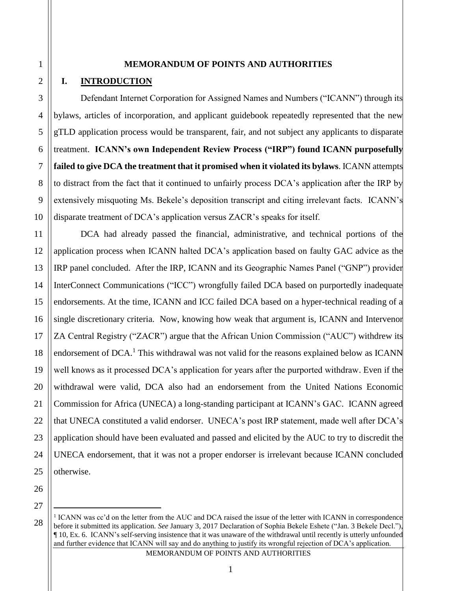#### **MEMORANDUM OF POINTS AND AUTHORITIES**

# **I. INTRODUCTION**

Defendant Internet Corporation for Assigned Names and Numbers ("ICANN") through its bylaws, articles of incorporation, and applicant guidebook repeatedly represented that the new gTLD application process would be transparent, fair, and not subject any applicants to disparate treatment. **ICANN's own Independent Review Process ("IRP") found ICANN purposefully failed to give DCA the treatment that it promised when it violated its bylaws**. ICANN attempts to distract from the fact that it continued to unfairly process DCA's application after the IRP by extensively misquoting Ms. Bekele's deposition transcript and citing irrelevant facts. ICANN's disparate treatment of DCA's application versus ZACR's speaks for itself.

DCA had already passed the financial, administrative, and technical portions of the application process when ICANN halted DCA's application based on faulty GAC advice as the IRP panel concluded. After the IRP, ICANN and its Geographic Names Panel ("GNP") provider InterConnect Communications ("ICC") wrongfully failed DCA based on purportedly inadequate endorsements. At the time, ICANN and ICC failed DCA based on a hyper-technical reading of a single discretionary criteria. Now, knowing how weak that argument is, ICANN and Intervenor ZA Central Registry ("ZACR") argue that the African Union Commission ("AUC") withdrew its endorsement of DCA.<sup>1</sup> This withdrawal was not valid for the reasons explained below as ICANN well knows as it processed DCA's application for years after the purported withdraw. Even if the withdrawal were valid, DCA also had an endorsement from the United Nations Economic Commission for Africa (UNECA) a long-standing participant at ICANN's GAC. ICANN agreed that UNECA constituted a valid endorser. UNECA's post IRP statement, made well after DCA's application should have been evaluated and passed and elicited by the AUC to try to discredit the UNECA endorsement, that it was not a proper endorser is irrelevant because ICANN concluded otherwise.

26 27

 $\overline{a}$ 

MEMORANDUM OF POINTS AND AUTHORITIES

<sup>&</sup>lt;sup>1</sup> ICANN was cc'd on the letter from the AUC and DCA raised the issue of the letter with ICANN in correspondence before it submitted its application. *See* January 3, 2017 Declaration of Sophia Bekele Eshete ("Jan. 3 Bekele Decl."), ¶ 10, Ex. 6. ICANN's self-serving insistence that it was unaware of the withdrawal until recently is utterly unfounded and further evidence that ICANN will say and do anything to justify its wrongful rejection of DCA's application.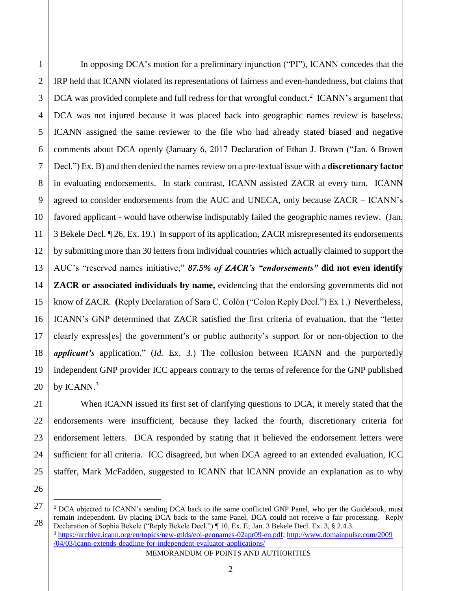$\overline{a}$ 

In opposing DCA's motion for a preliminary injunction ("PI"), ICANN concedes that the IRP held that ICANN violated its representations of fairness and even-handedness, but claims that DCA was provided complete and full redress for that wrongful conduct.<sup>2</sup> ICANN's argument that DCA was not injured because it was placed back into geographic names review is baseless. ICANN assigned the same reviewer to the file who had already stated biased and negative comments about DCA openly (January 6, 2017 Declaration of Ethan J. Brown ("Jan. 6 Brown Decl.") Ex. B) and then denied the names review on a pre-textual issue with a **discretionary factor** in evaluating endorsements. In stark contrast, ICANN assisted ZACR at every turn. ICANN agreed to consider endorsements from the AUC and UNECA, only because ZACR – ICANN's favored applicant - would have otherwise indisputably failed the geographic names review. (Jan. 3 Bekele Decl. ¶ 26, Ex. 19.) In support of its application, ZACR misrepresented its endorsements by submitting more than 30 letters from individual countries which actually claimed to support the AUC's "reserved names initiative;" *87.5% of ZACR's "endorsements"* **did not even identify ZACR or associated individuals by name,** evidencing that the endorsing governments did not know of ZACR. **(**Reply Declaration of Sara C. Colón ("Colon Reply Decl.") Ex 1.) Nevertheless, ICANN's GNP determined that ZACR satisfied the first criteria of evaluation, that the "letter clearly express[es] the government's or public authority's support for or non-objection to the *applicant's* application." (*Id.* Ex. 3.) The collusion between ICANN and the purportedly independent GNP provider ICC appears contrary to the terms of reference for the GNP published by ICANN.<sup>3</sup>

When ICANN issued its first set of clarifying questions to DCA, it merely stated that the endorsements were insufficient, because they lacked the fourth, discretionary criteria for endorsement letters. DCA responded by stating that it believed the endorsement letters were sufficient for all criteria. ICC disagreed, but when DCA agreed to an extended evaluation, ICC staffer, Mark McFadden, suggested to ICANN that ICANN provide an explanation as to why

MEMORANDUM OF POINTS AND AUTHORITIES

<sup>&</sup>lt;sup>2</sup> DCA objected to ICANN's sending DCA back to the same conflicted GNP Panel, who per the Guidebook, must remain independent. By placing DCA back to the same Panel, DCA could not receive a fair processing. Reply Declaration of Sophia Bekele ("Reply Bekele Decl.") ¶ 10, Ex. E; Jan. 3 Bekele Decl. Ex. 3, § 2.4.3.

<sup>3</sup> [https://archive.icann.org/en/topics/new-gtlds/eoi-geonames-02apr09-en.pdf;](https://archive.icann.org/en/topics/new-gtlds/eoi-geonames-02apr09-en.pdf) [http://www.domainpulse.com/2009](http://www.domainpulse.com/2009/04/03/icann-extends-deadline-for-independent-evaluator-applications/) [/04/03/icann-extends-deadline-for-independent-evaluator-applications/](http://www.domainpulse.com/2009/04/03/icann-extends-deadline-for-independent-evaluator-applications/)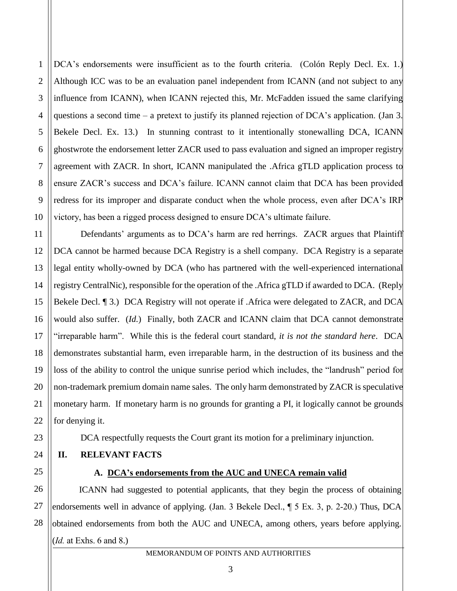DCA's endorsements were insufficient as to the fourth criteria. (Colón Reply Decl. Ex. 1.) Although ICC was to be an evaluation panel independent from ICANN (and not subject to any influence from ICANN), when ICANN rejected this, Mr. McFadden issued the same clarifying questions a second time – a pretext to justify its planned rejection of DCA's application. (Jan 3. Bekele Decl. Ex. 13.) In stunning contrast to it intentionally stonewalling DCA, ICANN ghostwrote the endorsement letter ZACR used to pass evaluation and signed an improper registry agreement with ZACR. In short, ICANN manipulated the .Africa gTLD application process to ensure ZACR's success and DCA's failure. ICANN cannot claim that DCA has been provided redress for its improper and disparate conduct when the whole process, even after DCA's IRP victory, has been a rigged process designed to ensure DCA's ultimate failure.

12 13 19 20 Defendants' arguments as to DCA's harm are red herrings. ZACR argues that Plaintiff DCA cannot be harmed because DCA Registry is a shell company. DCA Registry is a separate legal entity wholly-owned by DCA (who has partnered with the well-experienced international registry CentralNic), responsible for the operation of the .Africa gTLD if awarded to DCA. (Reply Bekele Decl. <sup>¶</sup> 3.) DCA Registry will not operate if .Africa were delegated to ZACR, and DCA would also suffer. (*Id.*) Finally, both ZACR and ICANN claim that DCA cannot demonstrate "irreparable harm". While this is the federal court standard, *it is not the standard here*. DCA demonstrates substantial harm, even irreparable harm, in the destruction of its business and the loss of the ability to control the unique sunrise period which includes, the "landrush" period for non-trademark premium domain name sales. The only harm demonstrated by ZACR is speculative monetary harm. If monetary harm is no grounds for granting a PI, it logically cannot be grounds for denying it.

DCA respectfully requests the Court grant its motion for a preliminary injunction.

- **II. RELEVANT FACTS**
- 25

1

2

3

4

5

6

7

8

9

10

11

14

15

16

17

18

21

22

23

24

# **A. DCA's endorsements from the AUC and UNECA remain valid**

26 27 28 ICANN had suggested to potential applicants, that they begin the process of obtaining endorsements well in advance of applying. (Jan. 3 Bekele Decl., ¶ 5 Ex. 3, p. 2-20.) Thus, DCA obtained endorsements from both the AUC and UNECA, among others, years before applying. (*Id.* at Exhs. 6 and 8.)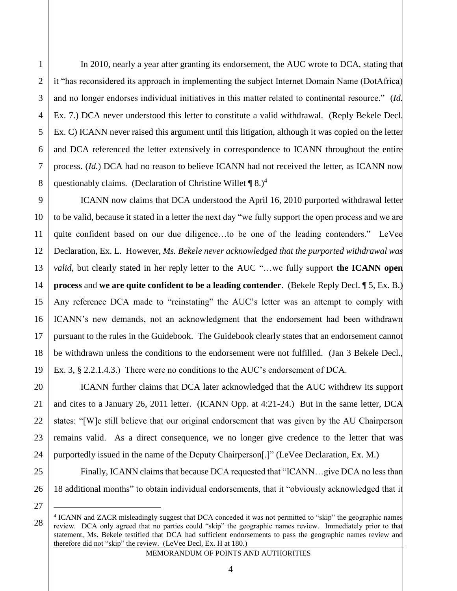In 2010, nearly a year after granting its endorsement, the AUC wrote to DCA, stating that it "has reconsidered its approach in implementing the subject Internet Domain Name (DotAfrica) and no longer endorses individual initiatives in this matter related to continental resource." (*Id.* Ex. 7.) DCA never understood this letter to constitute a valid withdrawal. (Reply Bekele Decl. Ex. C) ICANN never raised this argument until this litigation, although it was copied on the letter and DCA referenced the letter extensively in correspondence to ICANN throughout the entire process. (*Id.*) DCA had no reason to believe ICANN had not received the letter, as ICANN now questionably claims. (Declaration of Christine Willet  $\P$  8.)<sup>4</sup>

ICANN now claims that DCA understood the April 16, 2010 purported withdrawal letter to be valid, because it stated in a letter the next day "we fully support the open process and we are quite confident based on our due diligence…to be one of the leading contenders." LeVee Declaration, Ex. L. However, *Ms. Bekele never acknowledged that the purported withdrawal was valid*, but clearly stated in her reply letter to the AUC "...we fully support **the ICANN open process** and **we are quite confident to be a leading contender**. (Bekele Reply Decl. ¶ 5, Ex. B.) Any reference DCA made to "reinstating" the AUC's letter was an attempt to comply with ICANN's new demands, not an acknowledgment that the endorsement had been withdrawn pursuant to the rules in the Guidebook. The Guidebook clearly states that an endorsement cannot be withdrawn unless the conditions to the endorsement were not fulfilled. (Jan 3 Bekele Decl., Ex. 3, § 2.2.1.4.3.) There were no conditions to the AUC's endorsement of DCA.

ICANN further claims that DCA later acknowledged that the AUC withdrew its support and cites to a January 26, 2011 letter. (ICANN Opp. at 4:21-24.) But in the same letter, DCA states: "[W]e still believe that our original endorsement that was given by the AU Chairperson remains valid. As a direct consequence, we no longer give credence to the letter that was purportedly issued in the name of the Deputy Chairperson[.]" (LeVee Declaration, Ex. M.)

Finally, ICANN claims that because DCA requested that "ICANN…give DCA no less than 18 additional months" to obtain individual endorsements, that it "obviously acknowledged that it

27

 $\overline{a}$ 

28

MEMORANDUM OF POINTS AND AUTHORITIES

1

2

3

4

5

<sup>4</sup> ICANN and ZACR misleadingly suggest that DCA conceded it was not permitted to "skip" the geographic names review. DCA only agreed that no parties could "skip" the geographic names review. Immediately prior to that statement, Ms. Bekele testified that DCA had sufficient endorsements to pass the geographic names review and therefore did not "skip" the review. (LeVee Decl, Ex. H at 180.)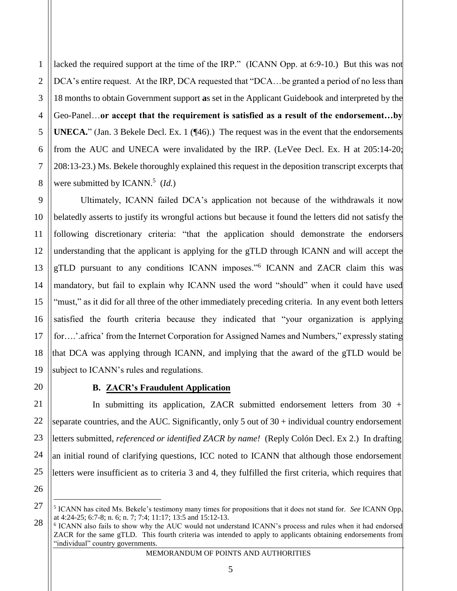lacked the required support at the time of the IRP." (ICANN Opp. at 6:9-10.) But this was not DCA's entire request. At the IRP, DCA requested that "DCA... be granted a period of no less than 18 months to obtain Government support **a**s set in the Applicant Guidebook and interpreted by the Geo-Panel…**or accept that the requirement is satisfied as a result of the endorsement…by UNECA.**" (Jan. 3 Bekele Decl. Ex. 1 (¶46).) The request was in the event that the endorsements from the AUC and UNECA were invalidated by the IRP. (LeVee Decl. Ex. H at 205:14-20; 208:13-23.) Ms. Bekele thoroughly explained this request in the deposition transcript excerpts that were submitted by ICANN.<sup>5</sup> (Id.)

Ultimately, ICANN failed DCA's application not because of the withdrawals it now belatedly asserts to justify its wrongful actions but because it found the letters did not satisfy the following discretionary criteria: "that the application should demonstrate the endorsers understanding that the applicant is applying for the gTLD through ICANN and will accept the gTLD pursuant to any conditions ICANN imposes."<sup>6</sup> ICANN and ZACR claim this was mandatory, but fail to explain why ICANN used the word "should" when it could have used "must," as it did for all three of the other immediately preceding criteria. In any event both letters satisfied the fourth criteria because they indicated that "your organization is applying for....'.africa' from the Internet Corporation for Assigned Names and Numbers," expressly stating that DCA was applying through ICANN, and implying that the award of the gTLD would be subject to ICANN's rules and regulations.

1

2

3

4

5

6

7

8

9

10

11

12

13

14

15

16

17

18

19

20

21

27

# **B. ZACR's Fraudulent Application**

22 23 24 25 26 In submitting its application, ZACR submitted endorsement letters from  $30 +$ separate countries, and the AUC. Significantly, only 5 out of 30 + individual country endorsement letters submitted, *referenced or identified ZACR by name!* (Reply Colón Decl. Ex 2.) In drafting an initial round of clarifying questions, ICC noted to ICANN that although those endorsement letters were insufficient as to criteria 3 and 4, they fulfilled the first criteria, which requires that

<sup>5</sup> ICANN has cited Ms. Bekele's testimony many times for propositions that it does not stand for. *See* ICANN Opp. at 4:24-25; 6:7-8; n. 6; n. 7; 7:4; 11:17; 13:5 and 15:12-13.

<sup>28</sup> 6 ICANN also fails to show why the AUC would not understand ICANN's process and rules when it had endorsed ZACR for the same gTLD. This fourth criteria was intended to apply to applicants obtaining endorsements from "individual" country governments.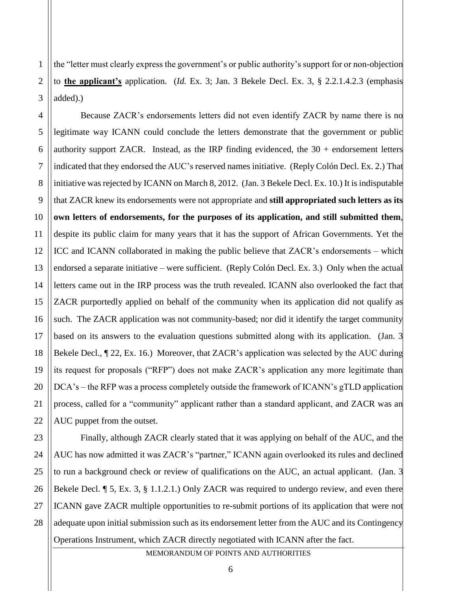1 2 3 the "letter must clearly express the government's or public authority's support for or non-objection to **the applicant's** application. (*Id.* Ex. 3; Jan. 3 Bekele Decl. Ex. 3, § 2.2.1.4.2.3 (emphasis added).)

5

11

17

21

4 6 7 8 9 10 12 13 14 15 16 18 19 20 22 Because ZACR's endorsements letters did not even identify ZACR by name there is no legitimate way ICANN could conclude the letters demonstrate that the government or public authority support ZACR. Instead, as the IRP finding evidenced, the  $30 +$  endorsement letters indicated that they endorsed the AUC's reserved names initiative. (Reply Colón Decl. Ex. 2.) That initiative was rejected by ICANN on March 8, 2012. (Jan. 3 Bekele Decl. Ex. 10.) It is indisputable that ZACR knew its endorsements were not appropriate and **still appropriated such letters as its own letters of endorsements, for the purposes of its application, and still submitted them**, despite its public claim for many years that it has the support of African Governments. Yet the ICC and ICANN collaborated in making the public believe that ZACR's endorsements – which endorsed a separate initiative – were sufficient. (Reply Colón Decl. Ex. 3.) Only when the actual letters came out in the IRP process was the truth revealed. ICANN also overlooked the fact that ZACR purportedly applied on behalf of the community when its application did not qualify as such. The ZACR application was not community-based; nor did it identify the target community based on its answers to the evaluation questions submitted along with its application. (Jan. 3 Bekele Decl.,  $\sqrt{22}$ , Ex. 16.) Moreover, that ZACR's application was selected by the AUC during its request for proposals ("RFP") does not make ZACR's application any more legitimate than DCA's – the RFP was a process completely outside the framework of ICANN's gTLD application process, called for a "community" applicant rather than a standard applicant, and ZACR was an AUC puppet from the outset.

23 24 25 26 27 28 Finally, although ZACR clearly stated that it was applying on behalf of the AUC, and the AUC has now admitted it was ZACR's "partner," ICANN again overlooked its rules and declined to run a background check or review of qualifications on the AUC, an actual applicant. (Jan. 3 Bekele Decl. **[5, Ex. 3, § 1.1.2.1.**) Only ZACR was required to undergo review, and even there ICANN gave ZACR multiple opportunities to re-submit portions of its application that were not adequate upon initial submission such as its endorsement letter from the AUC and its Contingency Operations Instrument, which ZACR directly negotiated with ICANN after the fact.

MEMORANDUM OF POINTS AND AUTHORITIES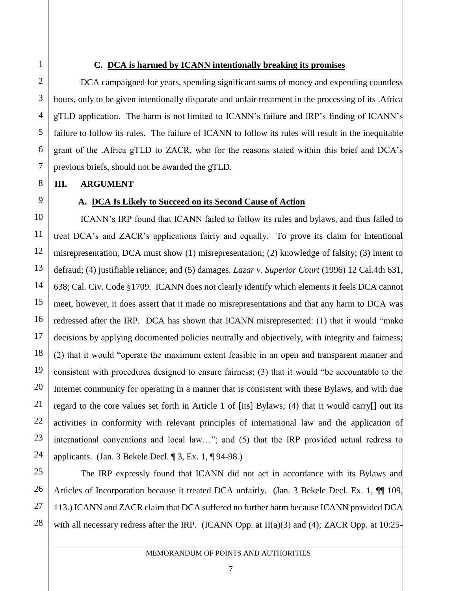#### **C. DCA is harmed by ICANN intentionally breaking its promises**

DCA campaigned for years, spending significant sums of money and expending countless hours, only to be given intentionally disparate and unfair treatment in the processing of its .Africa gTLD application. The harm is not limited to ICANN's failure and IRP's finding of ICANN's failure to follow its rules. The failure of ICANN to follow its rules will result in the inequitable grant of the .Africa gTLD to ZACR, who for the reasons stated within this brief and DCA's previous briefs, should not be awarded the gTLD.

#### **III. ARGUMENT**

#### **A. DCA Is Likely to Succeed on its Second Cause of Action**

ICANN's IRP found that ICANN failed to follow its rules and bylaws, and thus failed to treat DCA's and ZACR's applications fairly and equally. To prove its claim for intentional misrepresentation, DCA must show (1) misrepresentation; (2) knowledge of falsity; (3) intent to defraud; (4) justifiable reliance; and (5) damages. *Lazar v. Superior Court* (1996) 12 Cal.4th 631, 638; Cal. Civ. Code §1709. ICANN does not clearly identify which elements it feels DCA cannot meet, however, it does assert that it made no misrepresentations and that any harm to DCA was redressed after the IRP. DCA has shown that ICANN misrepresented: (1) that it would "make decisions by applying documented policies neutrally and objectively, with integrity and fairness; (2) that it would "operate the maximum extent feasible in an open and transparent manner and consistent with procedures designed to ensure fairness; (3) that it would "be accountable to the Internet community for operating in a manner that is consistent with these Bylaws, and with due regard to the core values set forth in Article 1 of [its] Bylaws; (4) that it would carry[] out its activities in conformity with relevant principles of international law and the application of international conventions and local law…"; and (5) that the IRP provided actual redress to applicants. (Jan. 3 Bekele Decl.  $\parallel$  3, Ex. 1,  $\parallel$  94-98.)

The IRP expressly found that ICANN did not act in accordance with its Bylaws and Articles of Incorporation because it treated DCA unfairly. (Jan. 3 Bekele Decl. Ex. 1,  $\P$  109, 113.) ICANN and ZACR claim that DCA suffered no further harm because ICANN provided DCA with all necessary redress after the IRP. (ICANN Opp. at II(a)(3) and (4); ZACR Opp. at 10:25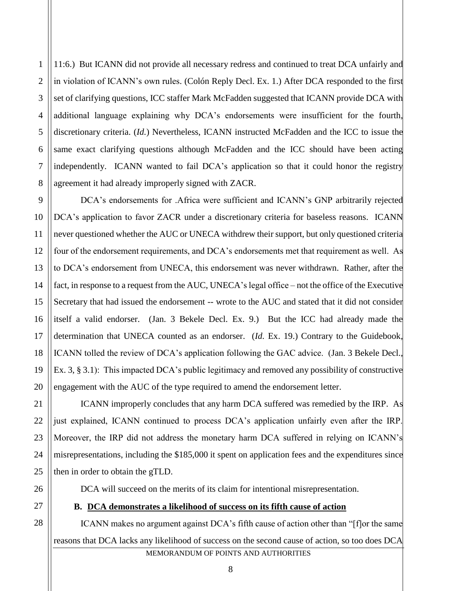2 3 4 5 11:6.) But ICANN did not provide all necessary redress and continued to treat DCA unfairly and in violation of ICANN's own rules. (Colón Reply Decl. Ex. 1.) After DCA responded to the first set of clarifying questions, ICC staffer Mark McFadden suggested that ICANN provide DCA with additional language explaining why DCA's endorsements were insufficient for the fourth, discretionary criteria. (*Id.*) Nevertheless, ICANN instructed McFadden and the ICC to issue the same exact clarifying questions although McFadden and the ICC should have been acting independently. ICANN wanted to fail DCA's application so that it could honor the registry agreement it had already improperly signed with ZACR.

DCA's endorsements for .Africa were sufficient and ICANN's GNP arbitrarily rejected DCA's application to favor ZACR under a discretionary criteria for baseless reasons. ICANN never questioned whether the AUC or UNECA withdrew their support, but only questioned criteria four of the endorsement requirements, and DCA's endorsements met that requirement as well. As to DCA's endorsement from UNECA, this endorsement was never withdrawn. Rather, after the fact, in response to a request from the AUC, UNECA's legal office – not the office of the Executive Secretary that had issued the endorsement -- wrote to the AUC and stated that it did not consider itself a valid endorser. (Jan. 3 Bekele Decl. Ex. 9.) But the ICC had already made the determination that UNECA counted as an endorser. (*Id.* Ex. 19.) Contrary to the Guidebook, ICANN tolled the review of DCA's application following the GAC advice. (Jan. 3 Bekele Decl., Ex. 3, § 3.1): This impacted DCA's public legitimacy and removed any possibility of constructive engagement with the AUC of the type required to amend the endorsement letter.

ICANN improperly concludes that any harm DCA suffered was remedied by the IRP. As just explained, ICANN continued to process DCA's application unfairly even after the IRP. Moreover, the IRP did not address the monetary harm DCA suffered in relying on ICANN's misrepresentations, including the \$185,000 it spent on application fees and the expenditures since then in order to obtain the gTLD.

DCA will succeed on the merits of its claim for intentional misrepresentation.

#### **B. DCA demonstrates a likelihood of success on its fifth cause of action**

MEMORANDUM OF POINTS AND AUTHORITIES ICANN makes no argument against DCA's fifth cause of action other than "[f]or the same reasons that DCA lacks any likelihood of success on the second cause of action, so too does DCA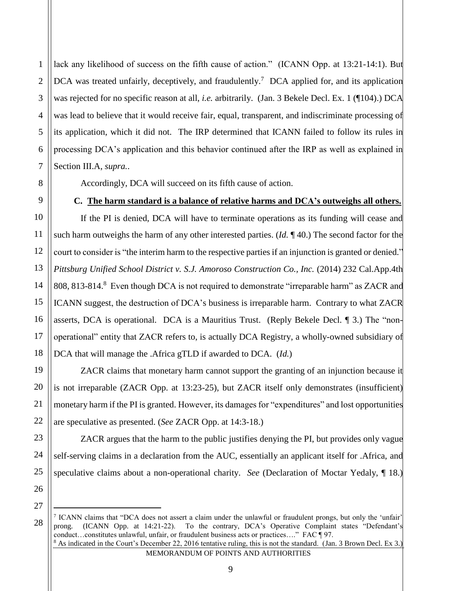3 4 6 lack any likelihood of success on the fifth cause of action." (ICANN Opp. at 13:21-14:1). But DCA was treated unfairly, deceptively, and fraudulently.<sup>7</sup> DCA applied for, and its application was rejected for no specific reason at all, *i.e.* arbitrarily. (Jan. 3 Bekele Decl. Ex. 1 (¶104).) DCA was lead to believe that it would receive fair, equal, transparent, and indiscriminate processing of its application, which it did not. The IRP determined that ICANN failed to follow its rules in processing DCA's application and this behavior continued after the IRP as well as explained in Section III.A, *supra.*.

Accordingly, DCA will succeed on its fifth cause of action.

### **C. The harm standard is a balance of relative harms and DCA's outweighs all others.**

If the PI is denied, DCA will have to terminate operations as its funding will cease and such harm outweighs the harm of any other interested parties. (*Id.* ¶ 40.) The second factor for the court to consider is "the interim harm to the respective parties if an injunction is granted or denied." *Pittsburg Unified School District v. S.J. Amoroso Construction Co., Inc.* (2014) 232 Cal.App.4th 808, 813-814.<sup>8</sup> Even though DCA is not required to demonstrate "irreparable harm" as ZACR and ICANN suggest, the destruction of DCA's business is irreparable harm. Contrary to what ZACR asserts, DCA is operational. DCA is a Mauritius Trust. (Reply Bekele Decl. ¶ 3.) The "nonoperational" entity that ZACR refers to, is actually DCA Registry, a wholly-owned subsidiary of DCA that will manage the .Africa gTLD if awarded to DCA. (*Id.*)

ZACR claims that monetary harm cannot support the granting of an injunction because it is not irreparable (ZACR Opp. at 13:23-25), but ZACR itself only demonstrates (insufficient) monetary harm if the PI is granted. However, its damages for "expenditures" and lost opportunities are speculative as presented. (*See* ZACR Opp. at 14:3-18.)

ZACR argues that the harm to the public justifies denying the PI, but provides only vague self-serving claims in a declaration from the AUC, essentially an applicant itself for .Africa, and speculative claims about a non-operational charity. *See* (Declaration of Moctar Yedaly, ¶ 18.)

26 27

 $\overline{a}$ 

28

1

2

5

7

8

9

10

11

12

13

14

15

16

17

18

19

20

21

22

23

24

25

MEMORANDUM OF POINTS AND AUTHORITIES

<sup>7</sup> ICANN claims that "DCA does not assert a claim under the unlawful or fraudulent prongs, but only the 'unfair' prong. (ICANN Opp. at 14:21-22). To the contrary, DCA's Operative Complaint states "Defendant's conduct…constitutes unlawful, unfair, or fraudulent business acts or practices…." FAC ¶ 97.  $8$  As indicated in the Court's December 22, 2016 tentative ruling, this is not the standard. (Jan. 3 Brown Decl. Ex 3.)